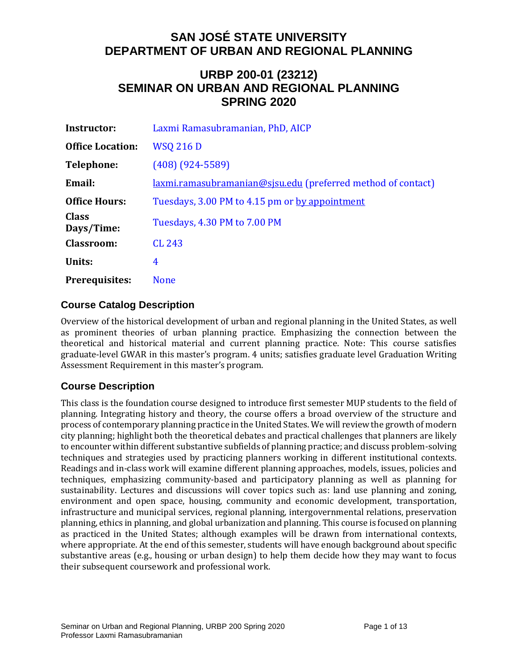## **URBP 200-01 (23212) SEMINAR ON URBAN AND REGIONAL PLANNING SPRING 2020**

| Instructor:                | Laxmi Ramasubramanian, PhD, AICP                             |
|----------------------------|--------------------------------------------------------------|
| <b>Office Location:</b>    | <b>WSQ 216 D</b>                                             |
| Telephone:                 | $(408)$ $(924 - 5589)$                                       |
| Email:                     | laxmi.ramasubramanian@sjsu.edu (preferred method of contact) |
| <b>Office Hours:</b>       | Tuesdays, 3.00 PM to 4.15 pm or by appointment               |
| <b>Class</b><br>Days/Time: | Tuesdays, 4.30 PM to 7.00 PM                                 |
| <b>Classroom:</b>          | <b>CL 243</b>                                                |
| Units:                     | 4                                                            |
| <b>Prerequisites:</b>      | <b>None</b>                                                  |

## **Course Catalog Description**

Overview of the historical development of urban and regional planning in the United States, as well as prominent theories of urban planning practice. Emphasizing the connection between the theoretical and historical material and current planning practice. Note: This course satisfies graduate-level GWAR in this master's program. 4 units; satisfies graduate level Graduation Writing Assessment Requirement in this master's program.

## **Course Description**

This class is the foundation course designed to introduce first semester MUP students to the field of planning. Integrating history and theory, the course offers a broad overview of the structure and process of contemporary planning practice in the United States. We will review the growth of modern city planning; highlight both the theoretical debates and practical challenges that planners are likely to encounter within different substantive subfields of planning practice; and discuss problem-solving techniques and strategies used by practicing planners working in different institutional contexts. Readings and in-class work will examine different planning approaches, models, issues, policies and techniques, emphasizing community-based and participatory planning as well as planning for sustainability. Lectures and discussions will cover topics such as: land use planning and zoning, environment and open space, housing, community and economic development, transportation, infrastructure and municipal services, regional planning, intergovernmental relations, preservation planning, ethics in planning, and global urbanization and planning. This course is focused on planning as practiced in the United States; although examples will be drawn from international contexts, where appropriate. At the end of this semester, students will have enough background about specific substantive areas (e.g., housing or urban design) to help them decide how they may want to focus their subsequent coursework and professional work.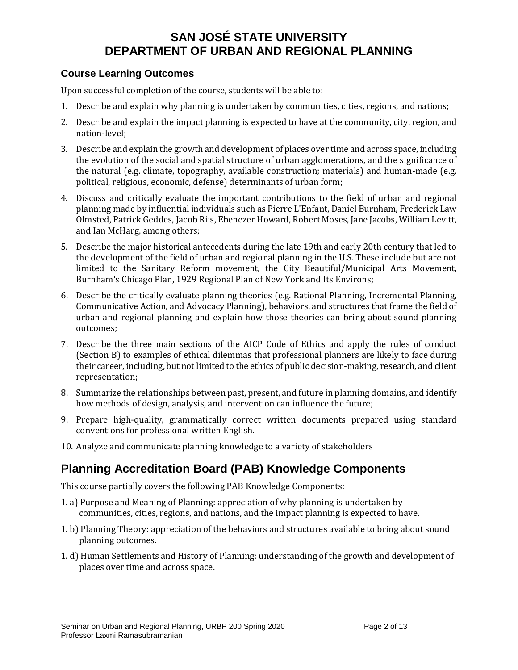## **Course Learning Outcomes**

Upon successful completion of the course, students will be able to:

- 1. Describe and explain why planning is undertaken by communities, cities, regions, and nations;
- 2. Describe and explain the impact planning is expected to have at the community, city, region, and nation-level;
- 3. Describe and explain the growth and development of places over time and across space, including the evolution of the social and spatial structure of urban agglomerations, and the significance of the natural (e.g. climate, topography, available construction; materials) and human-made (e.g. political, religious, economic, defense) determinants of urban form;
- 4. Discuss and critically evaluate the important contributions to the field of urban and regional planning made by influential individuals such as Pierre L'Enfant, Daniel Burnham, Frederick Law Olmsted, Patrick Geddes, Jacob Riis, Ebenezer Howard, Robert Moses, Jane Jacobs, William Levitt, and Ian McHarg, among others;
- 5. Describe the major historical antecedents during the late 19th and early 20th century that led to the development of the field of urban and regional planning in the U.S. These include but are not limited to the Sanitary Reform movement, the City Beautiful/Municipal Arts Movement, Burnham's Chicago Plan, 1929 Regional Plan of New York and Its Environs;
- 6. Describe the critically evaluate planning theories (e.g. Rational Planning, Incremental Planning, Communicative Action, and Advocacy Planning), behaviors, and structures that frame the field of urban and regional planning and explain how those theories can bring about sound planning outcomes;
- 7. Describe the three main sections of the AICP Code of Ethics and apply the rules of conduct (Section B) to examples of ethical dilemmas that professional planners are likely to face during their career, including, but not limited to the ethics of public decision-making, research, and client representation;
- 8. Summarize the relationships between past, present, and future in planning domains, and identify how methods of design, analysis, and intervention can influence the future;
- 9. Prepare high-quality, grammatically correct written documents prepared using standard conventions for professional written English.
- 10. Analyze and communicate planning knowledge to a variety of stakeholders

# **Planning Accreditation Board (PAB) Knowledge Components**

This course partially covers the following PAB Knowledge Components:

- 1. a) Purpose and Meaning of Planning: appreciation of why planning is undertaken by communities, cities, regions, and nations, and the impact planning is expected to have.
- 1. b) Planning Theory: appreciation of the behaviors and structures available to bring about sound planning outcomes.
- 1. d) Human Settlements and History of Planning: understanding of the growth and development of places over time and across space.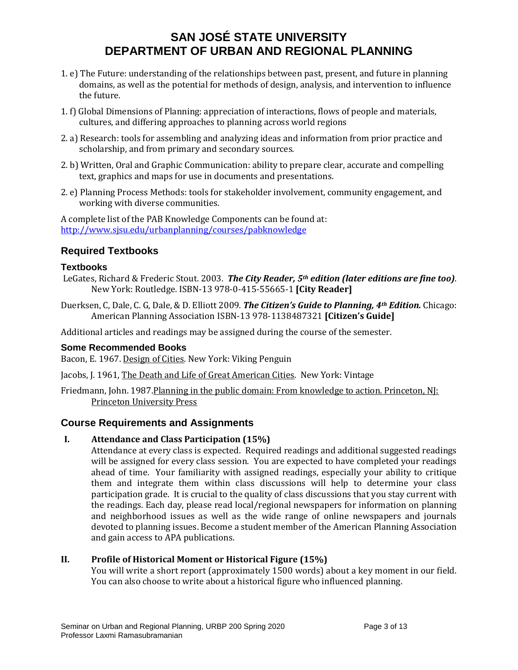- 1. e) The Future: understanding of the relationships between past, present, and future in planning domains, as well as the potential for methods of design, analysis, and intervention to influence the future.
- 1. f) Global Dimensions of Planning: appreciation of interactions, flows of people and materials, cultures, and differing approaches to planning across world regions
- 2. a) Research: tools for assembling and analyzing ideas and information from prior practice and scholarship, and from primary and secondary sources.
- 2. b) Written, Oral and Graphic Communication: ability to prepare clear, accurate and compelling text, graphics and maps for use in documents and presentations.
- 2. e) Planning Process Methods: tools for stakeholder involvement, community engagement, and working with diverse communities.

A complete list of the PAB Knowledge Components can be found at: <http://www.sjsu.edu/urbanplanning/courses/pabknowledge>

## **Required Textbooks**

### **Textbooks**

- LeGates, Richard & Frederic Stout. 2003. *The City Reader, 5th edition (later editions are fine too)*. New York: Routledge. ISBN-13 978-0-415-55665-1 **[City Reader]**
- Duerksen, C, Dale, C. G, Dale, & D. Elliott 2009. *The Citizen's Guide to Planning, 4th Edition.* Chicago: American Planning Association ISBN-13 978-1138487321 **[Citizen's Guide]**

Additional articles and readings may be assigned during the course of the semester.

### **Some Recommended Books**

Bacon, E. 1967. Design of Cities. New York: Viking Penguin

Jacobs, J. 1961, The Death and Life of Great American Cities. New York: Vintage

Friedmann, John. 1987. Planning in the public domain: From knowledge to action. Princeton, NJ: Princeton University Press

## **Course Requirements and Assignments**

### **I. Attendance and Class Participation (15%)**

Attendance at every class is expected. Required readings and additional suggested readings will be assigned for every class session. You are expected to have completed your readings ahead of time. Your familiarity with assigned readings, especially your ability to critique them and integrate them within class discussions will help to determine your class participation grade. It is crucial to the quality of class discussions that you stay current with the readings. Each day, please read local/regional newspapers for information on planning and neighborhood issues as well as the wide range of online newspapers and journals devoted to planning issues. Become a student member of the American Planning Association and gain access to APA publications.

### **II. Profile of Historical Moment or Historical Figure (15%)**

You will write a short report (approximately 1500 words) about a key moment in our field. You can also choose to write about a historical figure who influenced planning.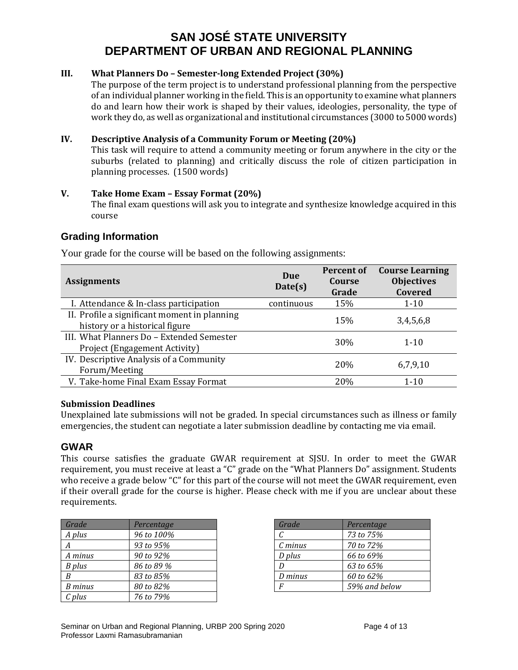#### **III. What Planners Do – Semester-long Extended Project (30%)**

The purpose of the term project is to understand professional planning from the perspective of an individual planner working in the field. This is an opportunity to examine what planners do and learn how their work is shaped by their values, ideologies, personality, the type of work they do, as well as organizational and institutional circumstances (3000 to 5000 words)

#### **IV. Descriptive Analysis of a Community Forum or Meeting (20%)**

This task will require to attend a community meeting or forum anywhere in the city or the suburbs (related to planning) and critically discuss the role of citizen participation in planning processes. (1500 words)

#### **V. Take Home Exam – Essay Format (20%)**

The final exam questions will ask you to integrate and synthesize knowledge acquired in this course

### **Grading Information**

| <b>Assignments</b>                                                             | Due<br>Date(s) | Percent of<br>Course<br>Grade | <b>Course Learning</b><br><b>Objectives</b><br>Covered |
|--------------------------------------------------------------------------------|----------------|-------------------------------|--------------------------------------------------------|
| I. Attendance & In-class participation                                         | continuous     | 15%                           | $1 - 10$                                               |
| II. Profile a significant moment in planning<br>history or a historical figure |                | 15%                           | 3,4,5,6,8                                              |
| III. What Planners Do - Extended Semester<br>Project (Engagement Activity)     |                | 30%                           | $1 - 10$                                               |
| IV. Descriptive Analysis of a Community<br>Forum/Meeting                       |                | 20%                           | 6,7,9,10                                               |
| V. Take-home Final Exam Essay Format                                           |                | 20%                           | $1 - 10$                                               |

Your grade for the course will be based on the following assignments:

#### **Submission Deadlines**

Unexplained late submissions will not be graded. In special circumstances such as illness or family emergencies, the student can negotiate a later submission deadline by contacting me via email.

### **GWAR**

This course satisfies the graduate GWAR requirement at SJSU. In order to meet the GWAR requirement, you must receive at least a "C" grade on the "What Planners Do" assignment. Students who receive a grade below "C" for this part of the course will not meet the GWAR requirement, even if their overall grade for the course is higher. Please check with me if you are unclear about these requirements.

| Grade   | Percentage |
|---------|------------|
| A plus  | 96 to 100% |
|         | 93 to 95%  |
| A minus | 90 to 92%  |
| B plus  | 86 to 89 % |
| R       | 83 to 85%  |
| B minus | 80 to 82%  |
| C plus  | 76 to 79%  |

| Grade     | Percentage    |
|-----------|---------------|
| C         | 73 to 75%     |
| $C$ minus | 70 to 72%     |
| D plus    | 66 to 69%     |
|           | 63 to 65%     |
| D minus   | 60 to 62%     |
|           | 59% and below |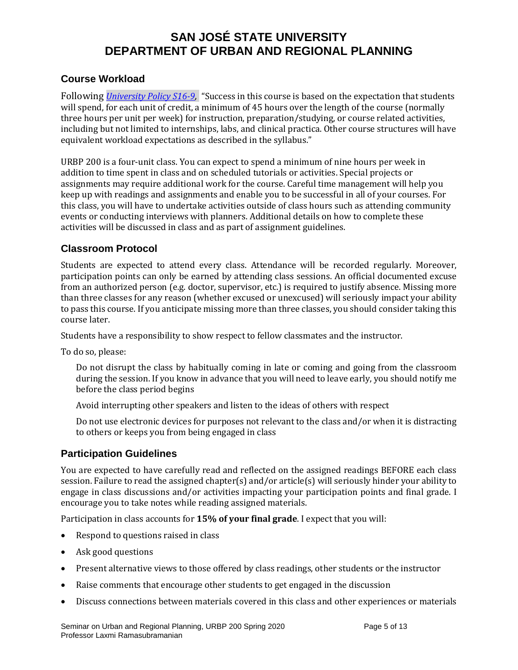## **Course Workload**

Following *[University Policy S16-9,](http://www.sjsu.edu/senate/docs/S16-9.pdf)* "Success in this course is based on the expectation that students will spend, for each unit of credit, a minimum of 45 hours over the length of the course (normally three hours per unit per week) for instruction, preparation/studying, or course related activities, including but not limited to internships, labs, and clinical practica. Other course structures will have equivalent workload expectations as described in the syllabus."

URBP 200 is a four-unit class. You can expect to spend a minimum of nine hours per week in addition to time spent in class and on scheduled tutorials or activities. Special projects or assignments may require additional work for the course. Careful time management will help you keep up with readings and assignments and enable you to be successful in all of your courses. For this class, you will have to undertake activities outside of class hours such as attending community events or conducting interviews with planners. Additional details on how to complete these activities will be discussed in class and as part of assignment guidelines.

## **Classroom Protocol**

Students are expected to attend every class. Attendance will be recorded regularly. Moreover, participation points can only be earned by attending class sessions. An official documented excuse from an authorized person (e.g. doctor, supervisor, etc.) is required to justify absence. Missing more than three classes for any reason (whether excused or unexcused) will seriously impact your ability to pass this course. If you anticipate missing more than three classes, you should consider taking this course later.

Students have a responsibility to show respect to fellow classmates and the instructor.

To do so, please:

Do not disrupt the class by habitually coming in late or coming and going from the classroom during the session. If you know in advance that you will need to leave early, you should notify me before the class period begins

Avoid interrupting other speakers and listen to the ideas of others with respect

Do not use electronic devices for purposes not relevant to the class and/or when it is distracting to others or keeps you from being engaged in class

## **Participation Guidelines**

You are expected to have carefully read and reflected on the assigned readings BEFORE each class session. Failure to read the assigned chapter(s) and/or article(s) will seriously hinder your ability to engage in class discussions and/or activities impacting your participation points and final grade. I encourage you to take notes while reading assigned materials.

Participation in class accounts for **15% of your final grade**. I expect that you will:

- Respond to questions raised in class
- Ask good questions
- Present alternative views to those offered by class readings, other students or the instructor
- Raise comments that encourage other students to get engaged in the discussion
- Discuss connections between materials covered in this class and other experiences or materials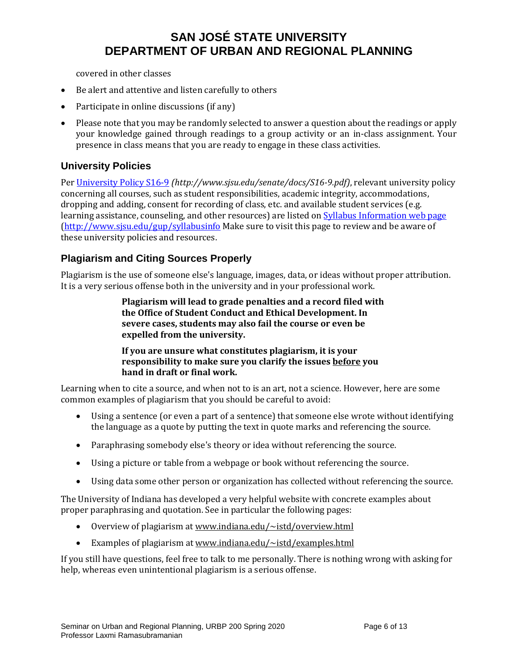covered in other classes

- Be alert and attentive and listen carefully to others
- Participate in online discussions (if any)
- Please note that you may be randomly selected to answer a question about the readings or apply your knowledge gained through readings to a group activity or an in-class assignment. Your presence in class means that you are ready to engage in these class activities.

### **University Policies**

Pe[r University Policy S16-9](http://www.sjsu.edu/senate/docs/S16-9.pdf) *(http://www.sjsu.edu/senate/docs/S16-9.pdf)*, relevant university policy concerning all courses, such as student responsibilities, academic integrity, accommodations, dropping and adding, consent for recording of class, etc. and available student services (e.g. learning assistance, counseling, and other resources) are listed o[n Syllabus Information](http://www.sjsu.edu/gup/syllabusinfo/) web page [\(http://www.sjsu.edu/gup/syllabusinfo](http://www.sjsu.edu/gup/syllabusinfo) Make sure to visit this page to review and be aware of these university policies and resources.

## **Plagiarism and Citing Sources Properly**

Plagiarism is the use of someone else's language, images, data, or ideas without proper attribution. It is a very serious offense both in the university and in your professional work.

> **Plagiarism will lead to grade penalties and a record filed with the Office of Student Conduct and Ethical Development. In severe cases, students may also fail the course or even be expelled from the university.**

**If you are unsure what constitutes plagiarism, it is your responsibility to make sure you clarify the issues before you hand in draft or final work.**

Learning when to cite a source, and when not to is an art, not a science. However, here are some common examples of plagiarism that you should be careful to avoid:

- Using a sentence (or even a part of a sentence) that someone else wrote without identifying the language as a quote by putting the text in quote marks and referencing the source.
- Paraphrasing somebody else's theory or idea without referencing the source.
- Using a picture or table from a webpage or book without referencing the source.
- Using data some other person or organization has collected without referencing the source.

The University of Indiana has developed a very helpful website with concrete examples about proper paraphrasing and quotation. See in particular the following pages:

- Overview of plagiarism at [www.indiana.edu/~istd/overview.html](http://www.indiana.edu/%7Eistd/overview.html)
- Examples of plagiarism at [www.indiana.edu/~istd/examples.html](http://www.indiana.edu/%7Eistd/examples.html)

If you still have questions, feel free to talk to me personally. There is nothing wrong with asking for help, whereas even unintentional plagiarism is a serious offense.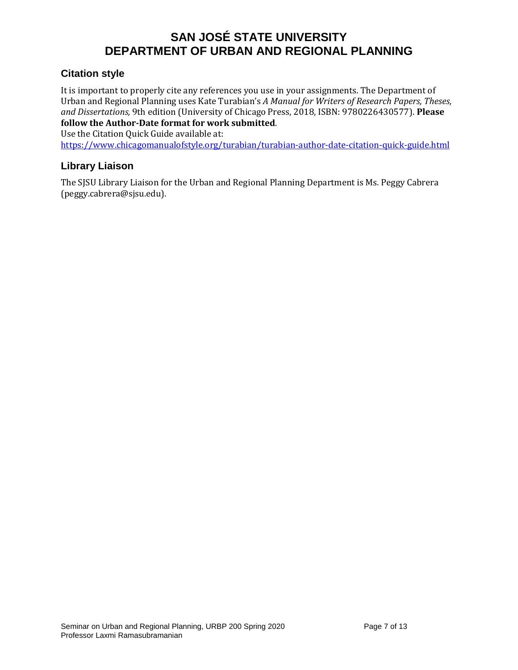## **Citation style**

It is important to properly cite any references you use in your assignments. The Department of Urban and Regional Planning uses Kate Turabian's *A Manual for Writers of Research Papers, Theses, and Dissertations,* 9th edition (University of Chicago Press, 2018, ISBN: 9780226430577). **Please follow the Author-Date format for work submitted**.

Use the Citation Quick Guide available at:

<https://www.chicagomanualofstyle.org/turabian/turabian-author-date-citation-quick-guide.html>

## **Library Liaison**

The SJSU Library Liaison for the Urban and Regional Planning Department is Ms. Peggy Cabrera (peggy.cabrera@sjsu.edu).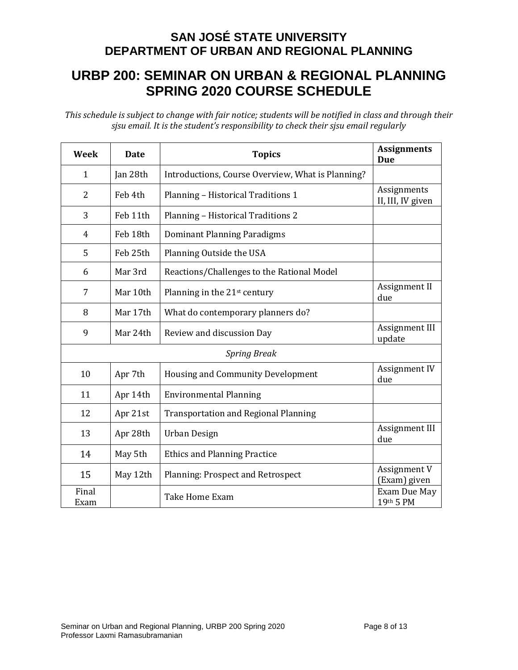# **URBP 200: SEMINAR ON URBAN & REGIONAL PLANNING SPRING 2020 COURSE SCHEDULE**

*This schedule is subject to change with fair notice; students will be notified in class and through their sjsu email. It is the student's responsibility to check their sjsu email regularly*

| Week                | <b>Date</b> | <b>Topics</b>                                     | <b>Assignments</b><br><b>Due</b> |  |
|---------------------|-------------|---------------------------------------------------|----------------------------------|--|
| $\mathbf{1}$        | Jan 28th    | Introductions, Course Overview, What is Planning? |                                  |  |
| $\overline{2}$      | Feb 4th     | Planning - Historical Traditions 1                | Assignments<br>II, III, IV given |  |
| 3                   | Feb 11th    | Planning - Historical Traditions 2                |                                  |  |
| 4                   | Feb 18th    | Dominant Planning Paradigms                       |                                  |  |
| 5                   | Feb 25th    | Planning Outside the USA                          |                                  |  |
| 6                   | Mar 3rd     | Reactions/Challenges to the Rational Model        |                                  |  |
| 7                   | Mar 10th    | Planning in the 21 <sup>st</sup> century          | Assignment II<br>due             |  |
| 8                   | Mar 17th    | What do contemporary planners do?                 |                                  |  |
| 9                   | Mar 24th    | Review and discussion Day                         | Assignment III<br>update         |  |
| <b>Spring Break</b> |             |                                                   |                                  |  |
| 10                  | Apr 7th     | <b>Housing and Community Development</b>          | Assignment IV<br>due             |  |
| 11                  | Apr 14th    | <b>Environmental Planning</b>                     |                                  |  |
| 12                  | Apr 21st    | <b>Transportation and Regional Planning</b>       |                                  |  |
| 13                  | Apr 28th    | Urban Design                                      | Assignment III<br>due            |  |
| 14                  | May 5th     | <b>Ethics and Planning Practice</b>               |                                  |  |
| 15                  | May 12th    | Planning: Prospect and Retrospect                 | Assignment V<br>(Exam) given     |  |
| Final<br>Exam       |             | Take Home Exam                                    | Exam Due May<br>19th 5 PM        |  |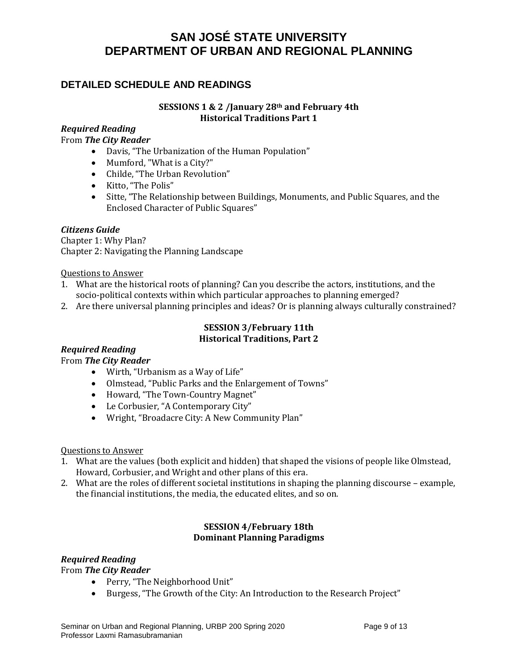## **DETAILED SCHEDULE AND READINGS**

### **SESSIONS 1 & 2 /January 28th and February 4th Historical Traditions Part 1**

### *Required Reading*

From *The City Reader*

- Davis, "The Urbanization of the Human Population"
- Mumford, "What is a City?"
- Childe, "The Urban Revolution"
- Kitto, "The Polis"
- Sitte, "The Relationship between Buildings, Monuments, and Public Squares, and the Enclosed Character of Public Squares"

#### *Citizens Guide*

Chapter 1: Why Plan? Chapter 2: Navigating the Planning Landscape

Questions to Answer

- 1. What are the historical roots of planning? Can you describe the actors, institutions, and the socio-political contexts within which particular approaches to planning emerged?
- 2. Are there universal planning principles and ideas? Or is planning always culturally constrained?

#### **SESSION 3/February 11th Historical Traditions, Part 2**

### *Required Reading*

From *The City Reader*

- Wirth, "Urbanism as a Way of Life"
- Olmstead, "Public Parks and the Enlargement of Towns"
- Howard, "The Town-Country Magnet"
- Le Corbusier, "A Contemporary City"
- Wright, "Broadacre City: A New Community Plan"

#### Questions to Answer

- 1. What are the values (both explicit and hidden) that shaped the visions of people like Olmstead, Howard, Corbusier, and Wright and other plans of this era.
- 2. What are the roles of different societal institutions in shaping the planning discourse example, the financial institutions, the media, the educated elites, and so on.

#### **SESSION 4/February 18th Dominant Planning Paradigms**

## *Required Reading*

From *The City Reader*

- Perry, "The Neighborhood Unit"
- Burgess, "The Growth of the City: An Introduction to the Research Project"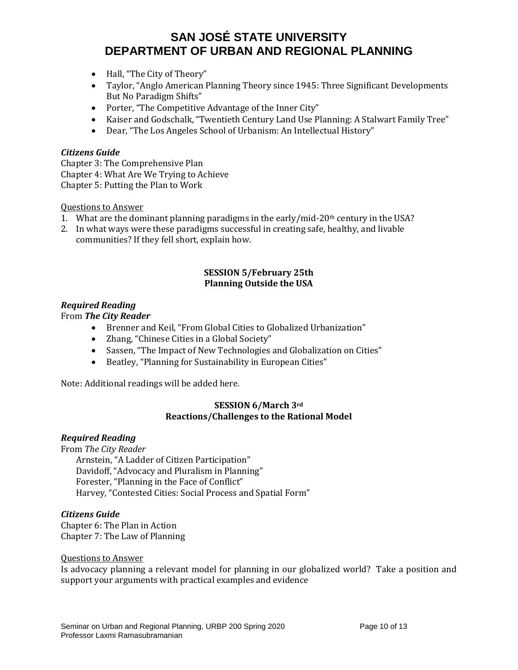- Hall, "The City of Theory"
- Taylor, "Anglo American Planning Theory since 1945: Three Significant Developments But No Paradigm Shifts"
- Porter, "The Competitive Advantage of the Inner City"
- Kaiser and Godschalk, "Twentieth Century Land Use Planning: A Stalwart Family Tree"
- Dear, "The Los Angeles School of Urbanism: An Intellectual History"

#### *Citizens Guide*

Chapter 3: The Comprehensive Plan Chapter 4: What Are We Trying to Achieve Chapter 5: Putting the Plan to Work

Questions to Answer

- 1. What are the dominant planning paradigms in the early/mid-20<sup>th</sup> century in the USA?
- 2. In what ways were these paradigms successful in creating safe, healthy, and livable communities? If they fell short, explain how.

#### **SESSION 5/February 25th Planning Outside the USA**

#### *Required Reading*

From *The City Reader*

- Brenner and Keil, "From Global Cities to Globalized Urbanization"
- Zhang, "Chinese Cities in a Global Society"
- Sassen, "The Impact of New Technologies and Globalization on Cities"
- Beatley, "Planning for Sustainability in European Cities"

Note: Additional readings will be added here.

#### **SESSION 6/March 3rd Reactions/Challenges to the Rational Model**

#### *Required Reading*

From *The City Reader*

Arnstein, "A Ladder of Citizen Participation" Davidoff, "Advocacy and Pluralism in Planning" Forester, "Planning in the Face of Conflict" Harvey, "Contested Cities: Social Process and Spatial Form"

#### *Citizens Guide*

Chapter 6: The Plan in Action Chapter 7: The Law of Planning

#### Questions to Answer

Is advocacy planning a relevant model for planning in our globalized world? Take a position and support your arguments with practical examples and evidence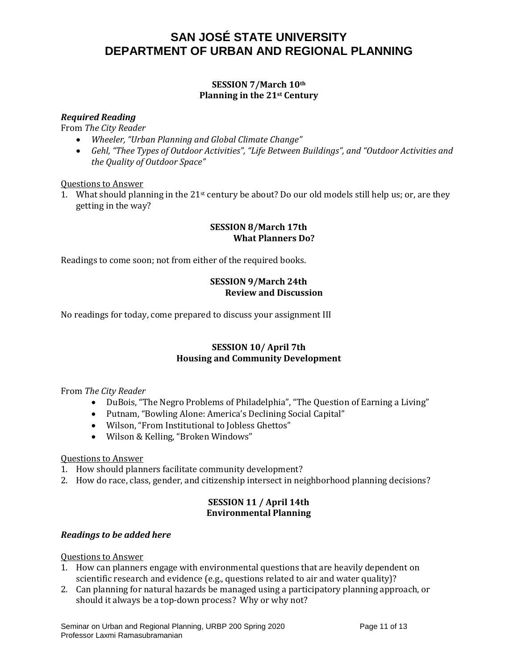### **SESSION 7/March 10th Planning in the 21st Century**

### *Required Reading*

From *The City Reader*

- *Wheeler, "Urban Planning and Global Climate Change"*
- *Gehl, "Thee Types of Outdoor Activities", "Life Between Buildings", and "Outdoor Activities and the Quality of Outdoor Space"*

Questions to Answer

1. What should planning in the 21st century be about? Do our old models still help us; or, are they getting in the way?

#### **SESSION 8/March 17th What Planners Do?**

Readings to come soon; not from either of the required books.

### **SESSION 9/March 24th Review and Discussion**

No readings for today, come prepared to discuss your assignment III

### **SESSION 10/ April 7th Housing and Community Development**

From *The City Reader*

- DuBois, "The Negro Problems of Philadelphia", "The Question of Earning a Living"
- Putnam, "Bowling Alone: America's Declining Social Capital"
- Wilson, "From Institutional to Jobless Ghettos"
- Wilson & Kelling, "Broken Windows"

#### Questions to Answer

- 1. How should planners facilitate community development?
- 2. How do race, class, gender, and citizenship intersect in neighborhood planning decisions?

#### **SESSION 11 / April 14th Environmental Planning**

#### *Readings to be added here*

#### Questions to Answer

- 1. How can planners engage with environmental questions that are heavily dependent on scientific research and evidence (e.g., questions related to air and water quality)?
- 2. Can planning for natural hazards be managed using a participatory planning approach, or should it always be a top-down process? Why or why not?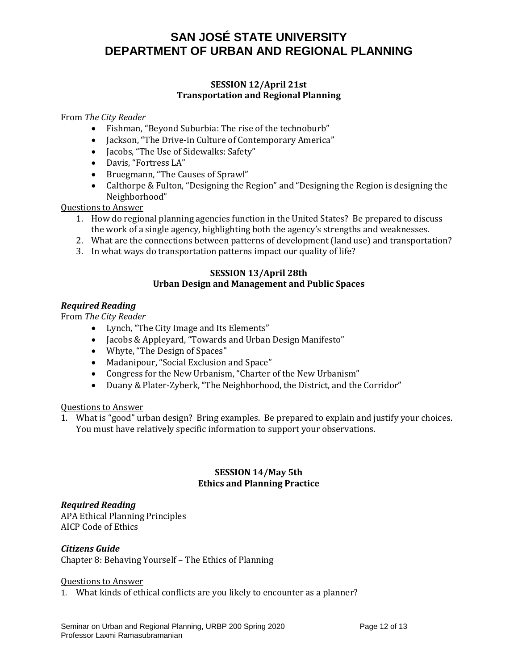#### **SESSION 12/April 21st Transportation and Regional Planning**

From *The City Reader*

- Fishman, "Beyond Suburbia: The rise of the technoburb"
- Jackson, "The Drive-in Culture of Contemporary America"
- Jacobs, "The Use of Sidewalks: Safety"
- Davis, "Fortress LA"
- Bruegmann, "The Causes of Sprawl"
- Calthorpe & Fulton, "Designing the Region" and "Designing the Region is designing the Neighborhood"

Questions to Answer

- 1. How do regional planning agencies function in the United States? Be prepared to discuss the work of a single agency, highlighting both the agency's strengths and weaknesses.
- 2. What are the connections between patterns of development (land use) and transportation?
- 3. In what ways do transportation patterns impact our quality of life?

#### **SESSION 13/April 28th Urban Design and Management and Public Spaces**

#### *Required Reading*

From *The City Reader*

- Lynch, "The City Image and Its Elements"
- Jacobs & Appleyard, "Towards and Urban Design Manifesto"
- Whyte, "The Design of Spaces"
- Madanipour, "Social Exclusion and Space"
- Congress for the New Urbanism, "Charter of the New Urbanism"
- Duany & Plater-Zyberk, "The Neighborhood, the District, and the Corridor"

Questions to Answer

1. What is "good" urban design? Bring examples. Be prepared to explain and justify your choices. You must have relatively specific information to support your observations.

### **SESSION 14/May 5th Ethics and Planning Practice**

### *Required Reading*

APA Ethical Planning Principles AICP Code of Ethics

### *Citizens Guide*

Chapter 8: Behaving Yourself – The Ethics of Planning

#### Questions to Answer

1. What kinds of ethical conflicts are you likely to encounter as a planner?